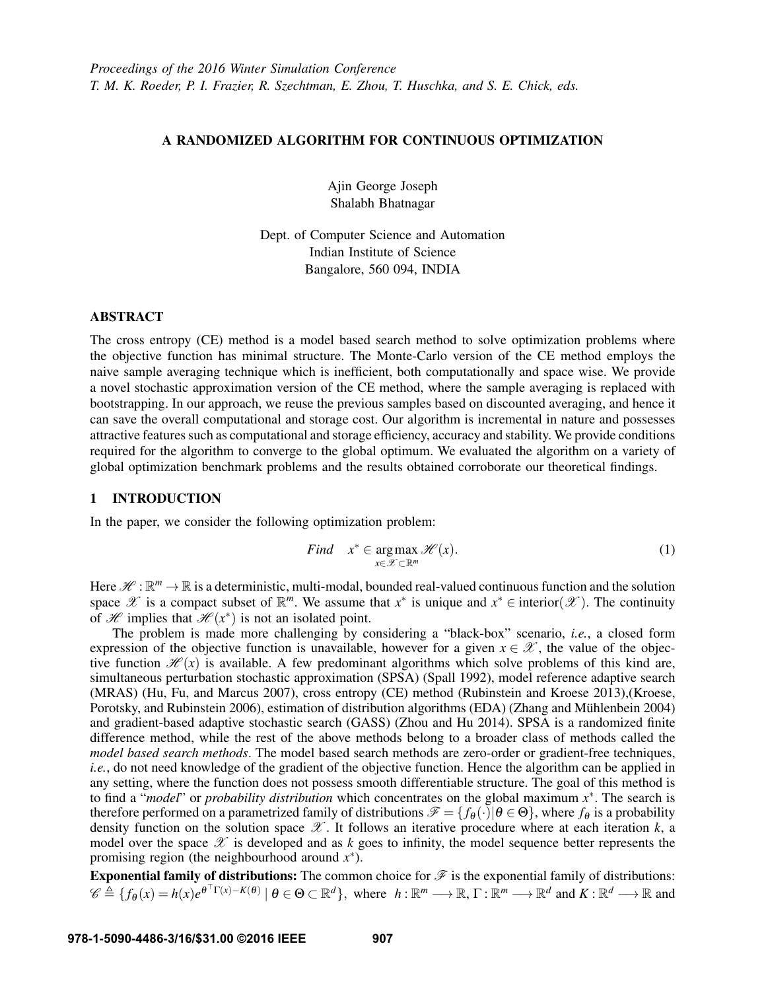# A RANDOMIZED ALGORITHM FOR CONTINUOUS OPTIMIZATION

Ajin George Joseph Shalabh Bhatnagar

Dept. of Computer Science and Automation Indian Institute of Science Bangalore, 560 094, INDIA

# ABSTRACT

The cross entropy (CE) method is a model based search method to solve optimization problems where the objective function has minimal structure. The Monte-Carlo version of the CE method employs the naive sample averaging technique which is inefficient, both computationally and space wise. We provide a novel stochastic approximation version of the CE method, where the sample averaging is replaced with bootstrapping. In our approach, we reuse the previous samples based on discounted averaging, and hence it can save the overall computational and storage cost. Our algorithm is incremental in nature and possesses attractive features such as computational and storage efficiency, accuracy and stability. We provide conditions required for the algorithm to converge to the global optimum. We evaluated the algorithm on a variety of global optimization benchmark problems and the results obtained corroborate our theoretical findings.

# 1 INTRODUCTION

In the paper, we consider the following optimization problem:

Find 
$$
x^* \in \arg\max_{x \in \mathcal{X} \subset \mathbb{R}^m} \mathcal{H}(x)
$$
. (1)

Here  $\mathscr{H} : \mathbb{R}^m \to \mathbb{R}$  is a deterministic, multi-modal, bounded real-valued continuous function and the solution space  $\mathscr X$  is a compact subset of  $\mathbb R^m$ . We assume that  $x^*$  is unique and  $x^* \in$  interior( $\mathscr X$ ). The continuity of H implies that  $\mathcal{H}(x^*)$  is not an isolated point.

The problem is made more challenging by considering a "black-box" scenario, *i.e.*, a closed form expression of the objective function is unavailable, however for a given  $x \in \mathcal{X}$ , the value of the objective function  $\mathcal{H}(x)$  is available. A few predominant algorithms which solve problems of this kind are, simultaneous perturbation stochastic approximation (SPSA) (Spall 1992), model reference adaptive search (MRAS) (Hu, Fu, and Marcus 2007), cross entropy (CE) method (Rubinstein and Kroese 2013),(Kroese, Porotsky, and Rubinstein 2006), estimation of distribution algorithms (EDA) (Zhang and Mühlenbein 2004) and gradient-based adaptive stochastic search (GASS) (Zhou and Hu 2014). SPSA is a randomized finite difference method, while the rest of the above methods belong to a broader class of methods called the *model based search methods*. The model based search methods are zero-order or gradient-free techniques, *i.e.*, do not need knowledge of the gradient of the objective function. Hence the algorithm can be applied in any setting, where the function does not possess smooth differentiable structure. The goal of this method is to find a "*model*" or *probability distribution* which concentrates on the global maximum *x* ∗ . The search is therefore performed on a parametrized family of distributions  $\mathcal{F} = \{f_\theta(\cdot) | \theta \in \Theta\}$ , where  $f_\theta$  is a probability density function on the solution space  $\mathscr X$ . It follows an iterative procedure where at each iteration  $k$ , a model over the space  $\mathscr X$  is developed and as  $k$  goes to infinity, the model sequence better represents the promising region (the neighbourhood around  $x^*$ ).

Exponential family of distributions: The common choice for  $\mathcal F$  is the exponential family of distributions:  $\mathscr{C} \triangleq \{f_{\theta}(x) = h(x)e^{\theta^{\top}\Gamma(x) - K(\theta)} \mid \theta \in \Theta \subset \mathbb{R}^d\}$ , where  $h: \mathbb{R}^m \longrightarrow \mathbb{R}, \Gamma: \mathbb{R}^m \longrightarrow \mathbb{R}^d$  and  $K: \mathbb{R}^d \longrightarrow \mathbb{R}$  and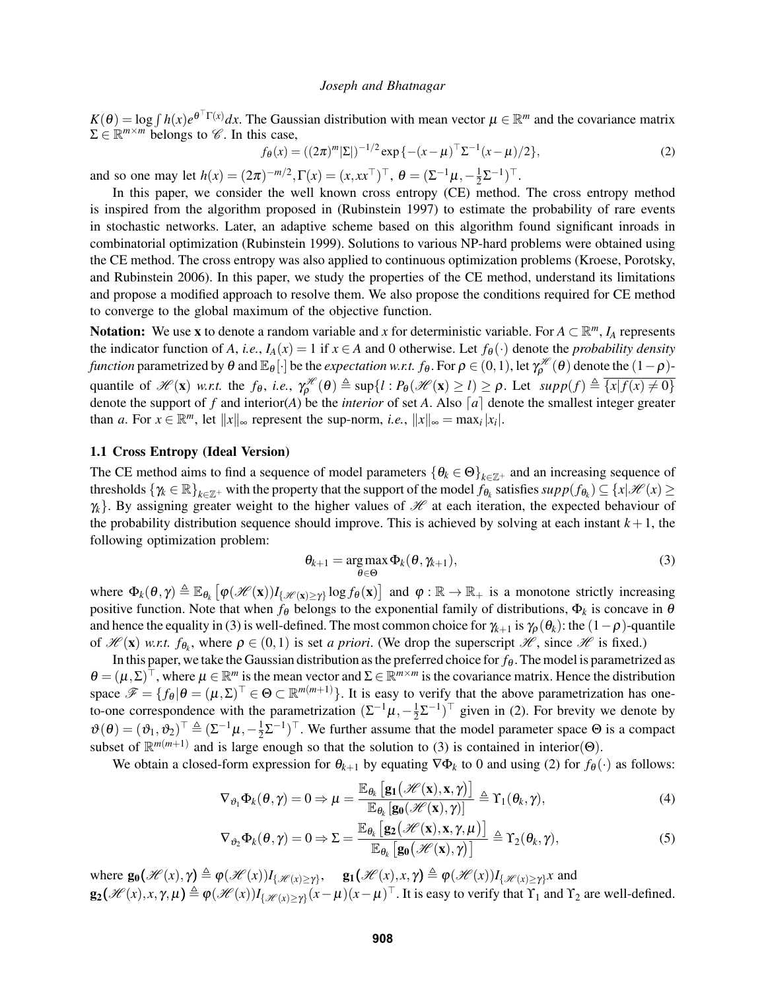$K(\theta) = \log \int h(x) e^{\theta^{\top} \Gamma(x)} dx$ . The Gaussian distribution with mean vector  $\mu \in \mathbb{R}^m$  and the covariance matrix  $\Sigma \in \mathbb{R}^{m \times m}$  belongs to  $\mathscr{C}$ . In this case,

$$
f_{\theta}(x) = ((2\pi)^m |\Sigma|)^{-1/2} \exp\{-(x-\mu)^{\top} \Sigma^{-1} (x-\mu)/2\},\tag{2}
$$

and so one may let  $h(x) = (2\pi)^{-m/2}, \Gamma(x) = (x, xx^{\top})^{\top}, \ \theta = (\Sigma^{-1}\mu, -\frac{1}{2})^{\top}$  $\frac{1}{2}\Sigma^{-1})^{\top}$ .

In this paper, we consider the well known cross entropy (CE) method. The cross entropy method is inspired from the algorithm proposed in (Rubinstein 1997) to estimate the probability of rare events in stochastic networks. Later, an adaptive scheme based on this algorithm found significant inroads in combinatorial optimization (Rubinstein 1999). Solutions to various NP-hard problems were obtained using the CE method. The cross entropy was also applied to continuous optimization problems (Kroese, Porotsky, and Rubinstein 2006). In this paper, we study the properties of the CE method, understand its limitations and propose a modified approach to resolve them. We also propose the conditions required for CE method to converge to the global maximum of the objective function.

Notation: We use x to denote a random variable and x for deterministic variable. For  $A \subset \mathbb{R}^m$ ,  $I_A$  represents the indicator function of *A*, *i.e.*,  $I_A(x) = 1$  if  $x \in A$  and 0 otherwise. Let  $f_{\theta}(\cdot)$  denote the *probability density function* parametrized by  $\theta$  and  $\mathbb{E}_{\theta}[\cdot]$  be the *expectation w.r.t. f*<sub>θ</sub>. For  $\rho \in (0,1)$ , let  $\gamma_\rho^{\mathscr{H}}(\theta)$  denote the  $(1-\rho)$ quantile of  $\mathscr{H}(\mathbf{x})$  *w.r.t.* the  $f_{\theta}$ , *i.e.*,  $\gamma_{\rho}^{\mathscr{H}}(\theta) \triangleq \sup\{l : P_{\theta}(\mathscr{H}(\mathbf{x}) \geq l) \geq \rho$ . Let  $supp(f) \triangleq \overline{\{x | f(x) \neq 0\}}$ denote the support of *f* and interior(*A*) be the *interior* of set *A*. Also [*a*] denote the smallest integer greater than *a*. For  $x \in \mathbb{R}^m$ , let  $||x||_{\infty}$  represent the sup-norm, *i.e.*,  $||x||_{\infty} = \max_i |x_i|$ .

### 1.1 Cross Entropy (Ideal Version)

The CE method aims to find a sequence of model parameters  $\{\theta_k \in \Theta\}_{k \in \mathbb{Z}^+}$  and an increasing sequence of thresholds  $\{\gamma_k \in \mathbb{R}\}_{k \in \mathbb{Z}^+}$  with the property that the support of the model  $f_{\theta_k}$  satisfies  $supp(f_{\theta_k}) \subseteq \{x | \mathcal{H}(x) \geq 0\}$  $\gamma_k$ . By assigning greater weight to the higher values of  $\mathcal H$  at each iteration, the expected behaviour of the probability distribution sequence should improve. This is achieved by solving at each instant  $k+1$ , the following optimization problem:

$$
\theta_{k+1} = \underset{\theta \in \Theta}{\arg \max} \Phi_k(\theta, \gamma_{k+1}), \tag{3}
$$

where  $\Phi_k(\theta, \gamma) \triangleq \mathbb{E}_{\theta_k} \left[ \phi(\mathcal{H}(\mathbf{x})) I_{\{\mathcal{H}(\mathbf{x}) \geq \gamma\}} \log f_{\theta}(\mathbf{x}) \right]$  and  $\varphi : \mathbb{R} \to \mathbb{R}_+$  is a monotone strictly increasing positive function. Note that when  $f_{\theta}$  belongs to the exponential family of distributions,  $\Phi_k$  is concave in  $\theta$ and hence the equality in (3) is well-defined. The most common choice for  $\gamma_{k+1}$  is  $\gamma_\rho(\theta_k)$ : the  $(1-\rho)$ -quantile of  $\mathcal{H}(\mathbf{x})$  *w.r.t.*  $f_{\theta_k}$ , where  $\rho \in (0,1)$  is set *a priori*. (We drop the superscript  $\mathcal{H}$ , since  $\mathcal{H}$  is fixed.)

In this paper, we take the Gaussian distribution as the preferred choice for  $f_{\theta}$ . The model is parametrized as  $\theta = (\mu, \Sigma)^{\top}$ , where  $\mu \in \mathbb{R}^m$  is the mean vector and  $\Sigma \in \mathbb{R}^{m \times m}$  is the covariance matrix. Hence the distribution space  $\mathscr{F} = \{f_{\theta} | \theta = (\mu, \Sigma)^{\top} \in \Theta \subset \mathbb{R}^{m(m+1)}\}$ . It is easy to verify that the above parametrization has oneto-one correspondence with the parametrization  $(\Sigma^{-1}\mu, -\frac{1}{2})$  $(\frac{1}{2}\Sigma^{-1})^{\top}$  given in (2). For brevity we denote by  $\boldsymbol{\vartheta}(\boldsymbol{\theta}) = (\boldsymbol{\vartheta}_1, \boldsymbol{\vartheta}_2)^{\top} \triangleq (\Sigma^{-1} \boldsymbol{\mu}, -\frac{1}{2})$  $\frac{1}{2}\Sigma^{-1}$ )<sup>T</sup>. We further assume that the model parameter space  $\Theta$  is a compact subset of  $\mathbb{R}^{m(m+1)}$  and is large enough so that the solution to (3) is contained in interior( $\Theta$ ).

We obtain a closed-form expression for  $\theta_{k+1}$  by equating  $\nabla \Phi_k$  to 0 and using (2) for  $f_\theta(\cdot)$  as follows:

$$
\nabla_{\vartheta_1} \Phi_k(\theta, \gamma) = 0 \Rightarrow \mu = \frac{\mathbb{E}_{\theta_k} \left[ \mathbf{g}_1 \big( \mathcal{H}(\mathbf{x}), \mathbf{x}, \gamma \big) \right]}{\mathbb{E}_{\theta_k} \left[ \mathbf{g}_0 \big( \mathcal{H}(\mathbf{x}), \gamma \big) \right]} \triangleq \Upsilon_1(\theta_k, \gamma), \tag{4}
$$

$$
\nabla_{\vartheta_2} \Phi_k(\theta, \gamma) = 0 \Rightarrow \Sigma = \frac{\mathbb{E}_{\theta_k} \left[ \mathbf{g}_2 \big( \mathcal{H}(\mathbf{x}), \mathbf{x}, \gamma, \mu \big) \right]}{\mathbb{E}_{\theta_k} \left[ \mathbf{g}_0 \big( \mathcal{H}(\mathbf{x}), \gamma \big) \right]} \triangleq \Upsilon_2(\theta_k, \gamma), \tag{5}
$$

where  $\mathbf{g}_0(\mathcal{H}(x), \gamma) \triangleq \varphi(\mathcal{H}(x))I_{\{\mathcal{H}(x)\geq \gamma\}}, \quad \mathbf{g}_1(\mathcal{H}(x), x, \gamma) \triangleq \varphi(\mathcal{H}(x))I_{\{\mathcal{H}(x)\geq \gamma\}}x$  and  $g_2(\mathcal{H}(x), x, \gamma, \mu) \triangleq \varphi(\mathcal{H}(x))I_{\{\mathcal{H}(x) \geq \gamma\}}(x-\mu)(x-\mu)^{\top}$ . It is easy to verify that  $\Upsilon_1$  and  $\Upsilon_2$  are well-defined.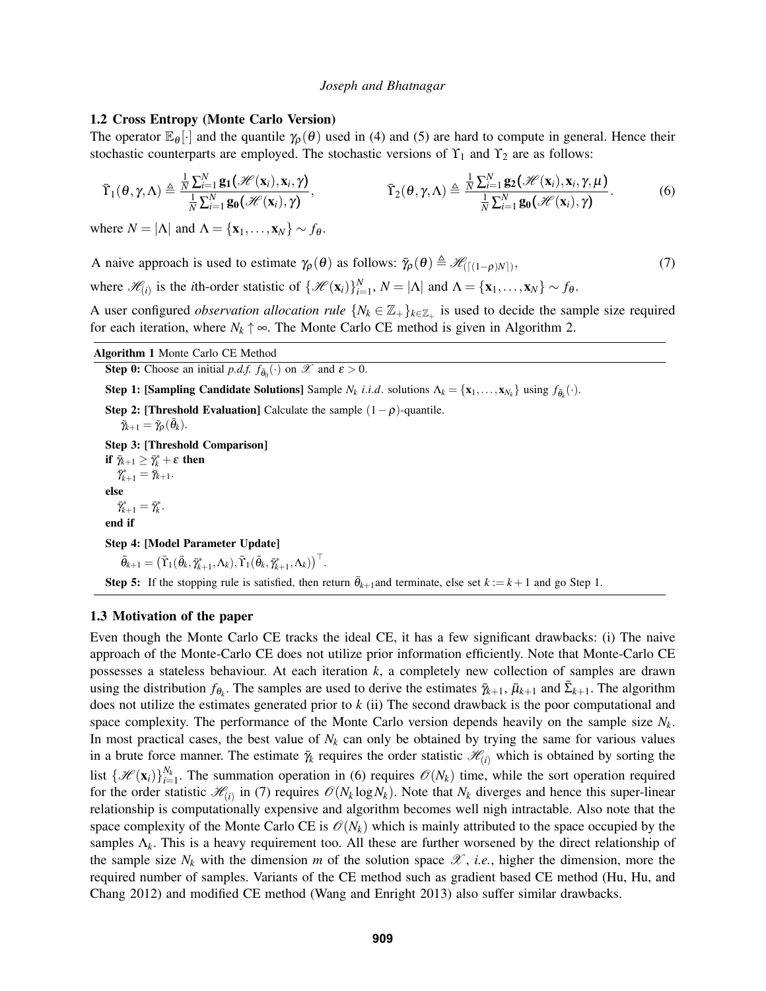#### 1.2 Cross Entropy (Monte Carlo Version)

The operator  $\mathbb{E}_{\theta}[\cdot]$  and the quantile  $\gamma_{\theta}(\theta)$  used in (4) and (5) are hard to compute in general. Hence their stochastic counterparts are employed. The stochastic versions of  $Y_1$  and  $Y_2$  are as follows:

$$
\bar{\Upsilon}_{1}(\theta,\gamma,\Lambda) \triangleq \frac{\frac{1}{N}\sum_{i=1}^{N}\mathbf{g}_{1}(\mathscr{H}(\mathbf{x}_{i}),\mathbf{x}_{i},\gamma)}{\frac{1}{N}\sum_{i=1}^{N}\mathbf{g}_{0}(\mathscr{H}(\mathbf{x}_{i}),\gamma)}, \qquad \bar{\Upsilon}_{2}(\theta,\gamma,\Lambda) \triangleq \frac{\frac{1}{N}\sum_{i=1}^{N}\mathbf{g}_{2}(\mathscr{H}(\mathbf{x}_{i}),\mathbf{x}_{i},\gamma,\mu)}{\frac{1}{N}\sum_{i=1}^{N}\mathbf{g}_{0}(\mathscr{H}(\mathbf{x}_{i}),\gamma)}.
$$
(6)

where  $N = |\Lambda|$  and  $\Lambda = {\mathbf{x}_1, \dots, \mathbf{x}_N} \sim f_\theta$ .

A naive approach is used to estimate  $\gamma_{\rho}(\theta)$  as follows:  $\bar{\gamma}_{\rho}(\theta) \triangleq \mathcal{H}_{([1-\rho)N]}$ ,  $, \t\t(7)$ where  $\mathcal{H}_{(i)}$  is the *i*th-order statistic of  $\{\mathcal{H}(\mathbf{x}_i)\}_{i=1}^N$ ,  $N = |\Lambda|$  and  $\Lambda = \{\mathbf{x}_1, \dots, \mathbf{x}_N\} \sim f_\theta$ .

A user configured *observation allocation rule*  $\{N_k \in \mathbb{Z}_+\}$  is used to decide the sample size required for each iteration, where  $N_k \uparrow \infty$ . The Monte Carlo CE method is given in Algorithm 2.

**Step 0:** Choose an initial *p.d.f.*  $f_{\bar{\theta}_0}(\cdot)$  on  $\mathscr{X}$  and  $\epsilon > 0$ .

Algorithm 1 Monte Carlo CE Method

Step 1: [Sampling Candidate Solutions] Sample  $N_k$  *i.i.d.* solutions  $\Lambda_k = {\mathbf{x}_1, \dots, \mathbf{x}_{N_k}}$  using  $f_{\bar{\theta}_k}(\cdot)$ .

Step 2: [Threshold Evaluation] Calculate the sample  $(1-\rho)$ -quantile.  $\bar{\gamma}_{k+1} = \bar{\gamma}_{\rho}(\bar{\theta}_k).$ Step 3: [Threshold Comparison] if  $\bar{\gamma}_{k+1} \geq \bar{\gamma}_k^* + \varepsilon$  then  $\bar{\gamma}_{k+1}^* = \bar{\gamma}_{k+1}.$ else  $\bar{\gamma}_{k+1}^* = \bar{\gamma}_k^*.$ end if Step 4: [Model Parameter Update]  $\bar{\theta}_{k+1} = \left(\bar{\mathrm{T}}_1(\bar{\theta}_k, \bar{\gamma}_{k+1}^*, \Lambda_k), \bar{\mathrm{T}}_1(\bar{\theta}_k, \bar{\gamma}_{k+1}^*, \Lambda_k)\right)^\top.$ **Step 5:** If the stopping rule is satisfied, then return  $\bar{\theta}_{k+1}$ and terminate, else set  $k := k+1$  and go Step 1.

### 1.3 Motivation of the paper

Even though the Monte Carlo CE tracks the ideal CE, it has a few significant drawbacks: (i) The naive approach of the Monte-Carlo CE does not utilize prior information efficiently. Note that Monte-Carlo CE possesses a stateless behaviour. At each iteration *k*, a completely new collection of samples are drawn using the distribution  $f_{\theta_k}$ . The samples are used to derive the estimates  $\bar{\gamma}_{k+1}$ ,  $\bar{\mu}_{k+1}$  and  $\bar{\Sigma}_{k+1}$ . The algorithm does not utilize the estimates generated prior to *k* (ii) The second drawback is the poor computational and space complexity. The performance of the Monte Carlo version depends heavily on the sample size  $N_k$ . In most practical cases, the best value of  $N_k$  can only be obtained by trying the same for various values in a brute force manner. The estimate  $\bar{\gamma}_k$  requires the order statistic  $\mathcal{H}_{(i)}$  which is obtained by sorting the list  $\{\mathcal{H}(\mathbf{x}_i)\}_{i=1}^{N_k}$ . The summation operation in (6) requires  $\mathcal{O}(N_k)$  time, while the sort operation required for the order statistic  $\mathcal{H}_{(i)}$  in (7) requires  $\mathcal{O}(N_k \log N_k)$ . Note that  $N_k$  diverges and hence this super-linear relationship is computationally expensive and algorithm becomes well nigh intractable. Also note that the space complexity of the Monte Carlo CE is  $\mathcal{O}(N_k)$  which is mainly attributed to the space occupied by the samples  $\Lambda_k$ . This is a heavy requirement too. All these are further worsened by the direct relationship of the sample size  $N_k$  with the dimension *m* of the solution space  $\mathscr X$ , *i.e.*, higher the dimension, more the required number of samples. Variants of the CE method such as gradient based CE method (Hu, Hu, and Chang 2012) and modified CE method (Wang and Enright 2013) also suffer similar drawbacks.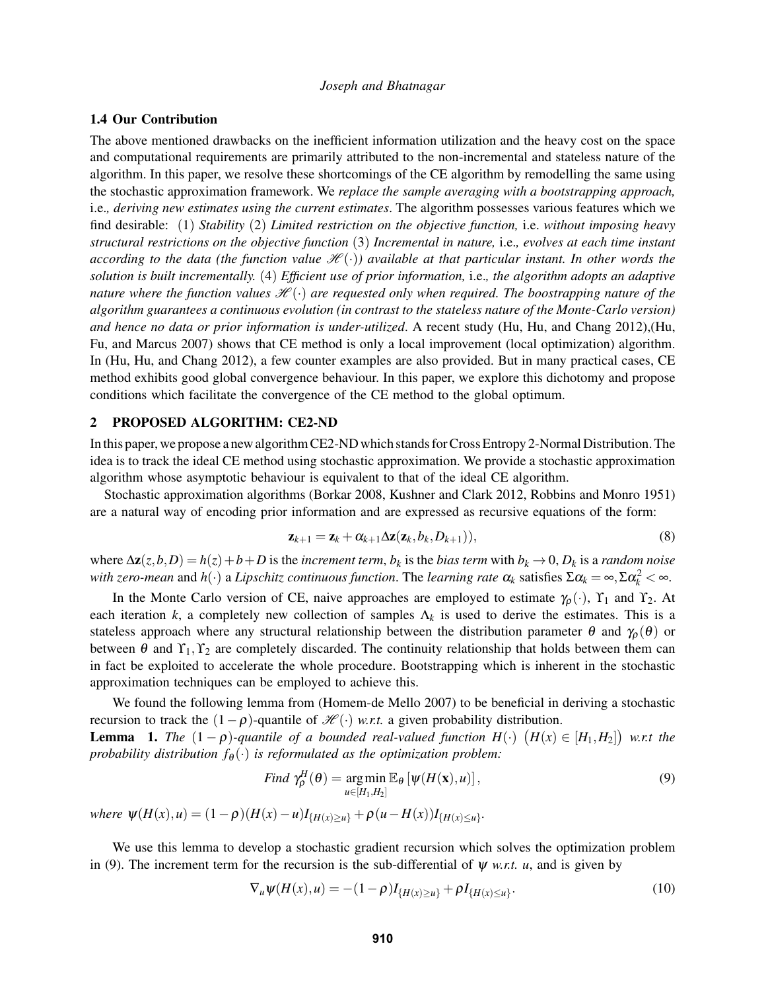# 1.4 Our Contribution

The above mentioned drawbacks on the inefficient information utilization and the heavy cost on the space and computational requirements are primarily attributed to the non-incremental and stateless nature of the algorithm. In this paper, we resolve these shortcomings of the CE algorithm by remodelling the same using the stochastic approximation framework. We *replace the sample averaging with a bootstrapping approach,* i.e.*, deriving new estimates using the current estimates*. The algorithm possesses various features which we find desirable: (1) *Stability* (2) *Limited restriction on the objective function,* i.e. *without imposing heavy structural restrictions on the objective function* (3) *Incremental in nature,* i.e.*, evolves at each time instant according to the data (the function value*  $\mathcal{H}(\cdot)$ ) available at that particular instant. In other words the *solution is built incrementally.* (4) *Efficient use of prior information,* i.e.*, the algorithm adopts an adaptive nature where the function values*  $\mathcal{H}(\cdot)$  *are requested only when required. The boostrapping nature of the algorithm guarantees a continuous evolution (in contrast to the stateless nature of the Monte-Carlo version) and hence no data or prior information is under-utilized*. A recent study (Hu, Hu, and Chang 2012),(Hu, Fu, and Marcus 2007) shows that CE method is only a local improvement (local optimization) algorithm. In (Hu, Hu, and Chang 2012), a few counter examples are also provided. But in many practical cases, CE method exhibits good global convergence behaviour. In this paper, we explore this dichotomy and propose conditions which facilitate the convergence of the CE method to the global optimum.

## 2 PROPOSED ALGORITHM: CE2-ND

In this paper, we propose a new algorithm CE2-ND which stands for Cross Entropy 2-Normal Distribution. The idea is to track the ideal CE method using stochastic approximation. We provide a stochastic approximation algorithm whose asymptotic behaviour is equivalent to that of the ideal CE algorithm.

Stochastic approximation algorithms (Borkar 2008, Kushner and Clark 2012, Robbins and Monro 1951) are a natural way of encoding prior information and are expressed as recursive equations of the form:

$$
\mathbf{z}_{k+1} = \mathbf{z}_k + \alpha_{k+1} \Delta \mathbf{z} (\mathbf{z}_k, b_k, D_{k+1})),
$$
\n(8)

where  $\Delta z(z, b, D) = h(z) + b + D$  is the *increment term*,  $b_k$  is the *bias term* with  $b_k \to 0$ ,  $D_k$  is a *random noise with zero-mean* and  $h(\cdot)$  a *Lipschitz continuous function*. The *learning rate*  $\alpha_k$  satisfies  $\Sigma \alpha_k = \infty$ ,  $\Sigma \alpha_k^2 < \infty$ .

In the Monte Carlo version of CE, naive approaches are employed to estimate  $\gamma_\rho(\cdot)$ ,  $\gamma_1$  and  $\gamma_2$ . At each iteration *k*, a completely new collection of samples  $\Lambda_k$  is used to derive the estimates. This is a stateless approach where any structural relationship between the distribution parameter  $\theta$  and  $\gamma_\rho(\theta)$  or between  $\theta$  and  $\Upsilon_1, \Upsilon_2$  are completely discarded. The continuity relationship that holds between them can in fact be exploited to accelerate the whole procedure. Bootstrapping which is inherent in the stochastic approximation techniques can be employed to achieve this.

We found the following lemma from (Homem-de Mello 2007) to be beneficial in deriving a stochastic recursion to track the  $(1-\rho)$ -quantile of  $\mathcal{H}(\cdot)$  *w.r.t.* a given probability distribution. **Lemma** 1. The  $(1 - \rho)$ -quantile of a bounded real-valued function  $H(\cdot)$   $(H(x) \in [H_1, H_2])$  w.r.t the *probability distribution*  $f_{\theta}(\cdot)$  *is reformulated as the optimization problem:* 

Find 
$$
\gamma_{\rho}^{H}(\theta) = \underset{u \in [H_1, H_2]}{\arg \min} \mathbb{E}_{\theta} [\psi(H(\mathbf{x}), u)],
$$
 (9)

*where*  $\psi(H(x), u) = (1 - \rho)(H(x) - u)I_{\{H(x) \ge u\}} + \rho(u - H(x))I_{\{H(x) \le u\}}.$ 

We use this lemma to develop a stochastic gradient recursion which solves the optimization problem in (9). The increment term for the recursion is the sub-differential of  $\psi$  *w.r.t. u*, and is given by

$$
\nabla_u \psi(H(x), u) = -(1 - \rho) I_{\{H(x) \ge u\}} + \rho I_{\{H(x) \le u\}}.
$$
\n(10)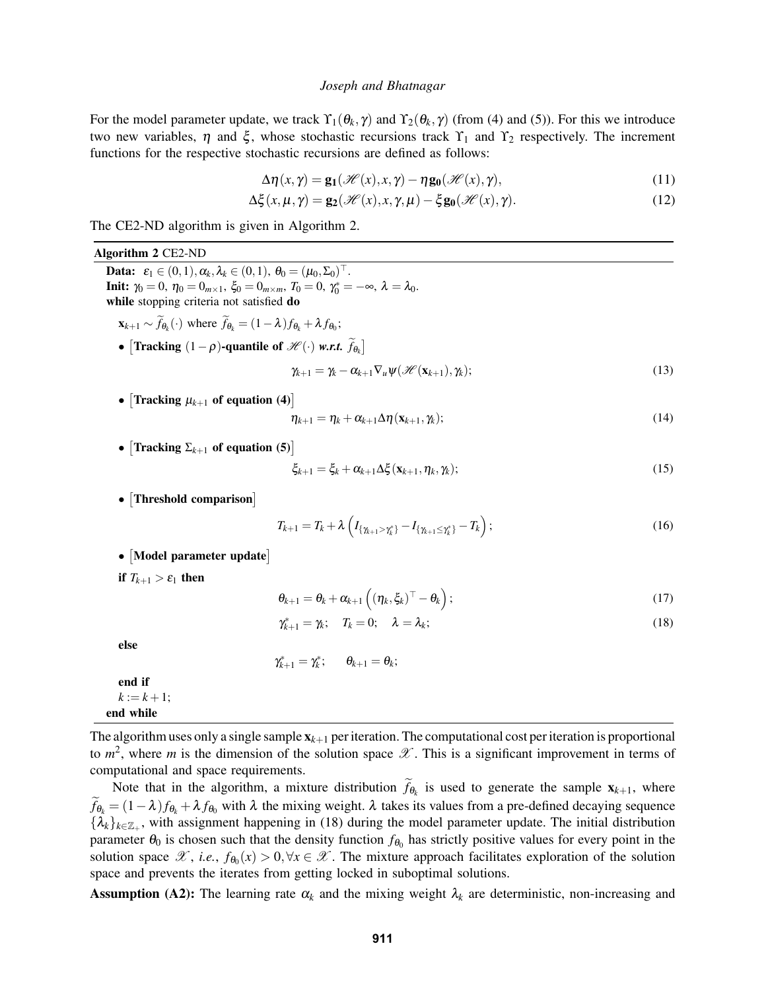For the model parameter update, we track  $\Upsilon_1(\theta_k, \gamma)$  and  $\Upsilon_2(\theta_k, \gamma)$  (from (4) and (5)). For this we introduce two new variables,  $\eta$  and  $\xi$ , whose stochastic recursions track  $Y_1$  and  $Y_2$  respectively. The increment functions for the respective stochastic recursions are defined as follows:

$$
\Delta \eta(x, \gamma) = \mathbf{g_1}(\mathcal{H}(x), x, \gamma) - \eta \mathbf{g_0}(\mathcal{H}(x), \gamma), \qquad (11)
$$

$$
\Delta \xi(x, \mu, \gamma) = \mathbf{g}_2(\mathcal{H}(x), x, \gamma, \mu) - \xi \mathbf{g}_0(\mathcal{H}(x), \gamma).
$$
 (12)

The CE2-ND algorithm is given in Algorithm 2.

#### Algorithm 2 CE2-ND

**Data:**  $\varepsilon_1 \in (0,1), \alpha_k, \lambda_k \in (0,1), \ \theta_0 = (\mu_0, \Sigma_0)^\top.$ **Init:**  $\gamma_0 = 0$ ,  $\eta_0 = 0_{m \times 1}$ ,  $\xi_0 = 0_{m \times m}$ ,  $T_0 = 0$ ,  $\gamma_0^* = -\infty$ ,  $\lambda = \lambda_0$ . while stopping criteria not satisfied do  $\mathbf{x}_{k+1} \sim \tilde{f}_{\theta_k}(\cdot)$  where  $\tilde{f}_{\theta_k} = (1 - \lambda) f_{\theta_k} + \lambda f_{\theta_0};$ • [Tracking  $(1 - \rho)$ -quantile of  $\mathcal{H}(\cdot)$  *w.r.t.*  $\hat{f}_{\theta_k}$ ]

$$
\gamma_{k+1} = \gamma_k - \alpha_{k+1} \nabla_u \psi(\mathcal{H}(\mathbf{x}_{k+1}), \gamma_k); \qquad (13)
$$

•  $\left[$ Tracking  $\mu_{k+1}$  of equation (4) $\right]$ 

$$
\eta_{k+1} = \eta_k + \alpha_{k+1} \Delta \eta(\mathbf{x}_{k+1}, \gamma_k); \tag{14}
$$

•  $\left[$ Tracking  $\Sigma_{k+1}$  of equation (5) $\right]$ 

$$
\xi_{k+1} = \xi_k + \alpha_{k+1} \Delta \xi(\mathbf{x}_{k+1}, \eta_k, \gamma_k); \tag{15}
$$

• Threshold comparison]

$$
T_{k+1} = T_k + \lambda \left( I_{\{\gamma_{k+1} > \gamma_k^* \}} - I_{\{\gamma_{k+1} \leq \gamma_k^* \}} - T_k \right); \tag{16}
$$

• Model parameter update

if  $T_{k+1} > \varepsilon_1$  then

$$
\theta_{k+1} = \theta_k + \alpha_{k+1} \left( (\eta_k, \xi_k)^\top - \theta_k \right); \tag{17}
$$

$$
\gamma_{k+1}^* = \gamma_k; \quad T_k = 0; \quad \lambda = \lambda_k; \tag{18}
$$

else

$$
\gamma_{k+1}^*=\gamma_k^*;\qquad \theta_{k+1}=\theta_k;
$$

end if  $k := k + 1;$ end while

The algorithm uses only a single sample  $x_{k+1}$  per iteration. The computational cost per iteration is proportional to  $m^2$ , where m is the dimension of the solution space  $\mathscr X$ . This is a significant improvement in terms of computational and space requirements.

Note that in the algorithm, a mixture distribution  $f_{\theta_k}$  is used to generate the sample  $\mathbf{x}_{k+1}$ , where  $\widetilde{f}_{\theta_k} = (1 - \lambda)f_{\theta_k} + \lambda f_{\theta_0}$  with  $\lambda$  the mixing weight.  $\lambda$  takes its values from a pre-defined decaying sequence  ${\{\lambda_k\}_{k\in\mathbb{Z}_+}}$ , with assignment happening in (18) during the model parameter update. The initial distribution parameter  $\theta_0$  is chosen such that the density function  $f_{\theta_0}$  has strictly positive values for every point in the solution space  $\mathscr{X}$ , *i.e.*,  $f_{\theta_0}(x) > 0, \forall x \in \mathscr{X}$ . The mixture approach facilitates exploration of the solution space and prevents the iterates from getting locked in suboptimal solutions.

**Assumption (A2):** The learning rate  $\alpha_k$  and the mixing weight  $\lambda_k$  are deterministic, non-increasing and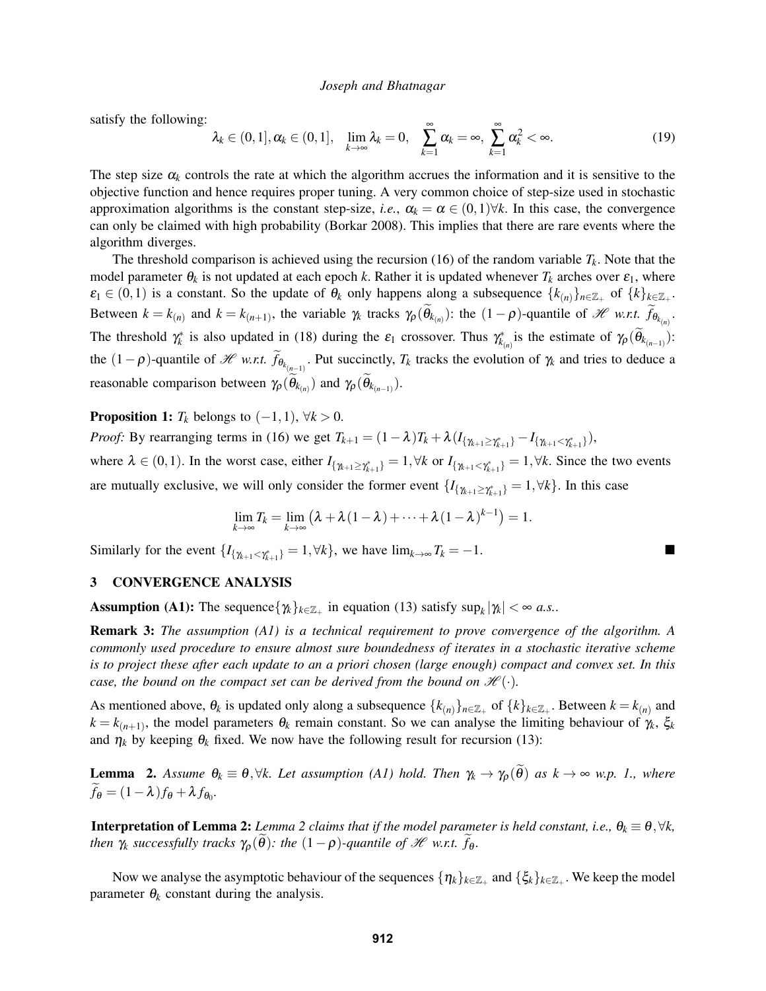satisfy the following:

$$
\lambda_k \in (0,1], \alpha_k \in (0,1], \quad \lim_{k \to \infty} \lambda_k = 0, \quad \sum_{k=1}^{\infty} \alpha_k = \infty, \quad \sum_{k=1}^{\infty} \alpha_k^2 < \infty. \tag{19}
$$

The step size  $\alpha_k$  controls the rate at which the algorithm accrues the information and it is sensitive to the objective function and hence requires proper tuning. A very common choice of step-size used in stochastic approximation algorithms is the constant step-size, *i.e.*,  $\alpha_k = \alpha \in (0,1) \forall k$ . In this case, the convergence can only be claimed with high probability (Borkar 2008). This implies that there are rare events where the algorithm diverges.

The threshold comparison is achieved using the recursion (16) of the random variable  $T_k$ . Note that the model parameter  $\theta_k$  is not updated at each epoch *k*. Rather it is updated whenever  $T_k$  arches over  $\varepsilon_1$ , where  $\varepsilon_1 \in (0,1)$  is a constant. So the update of  $\theta_k$  only happens along a subsequence  $\{k_{(n)}\}_{n \in \mathbb{Z}_+}$  of  $\{k\}_{k \in \mathbb{Z}_+}$ . Between  $k = k_{(n)}$  and  $k = k_{(n+1)}$ , the variable  $\gamma_k$  tracks  $\gamma_\rho(\theta_{k_{(n)}})$ : the  $(1-\rho)$ -quantile of  $\mathcal{H}$  *w.r.t.*  $f_{\theta_{k_{(n)}}}$ . The threshold  $\gamma_k^*$  is also updated in (18) during the  $\varepsilon_1$  crossover. Thus  $\gamma_{k_{(n)}}^*$  is the estimate of  $\gamma_\rho(\widetilde{\theta}_{k_{(n-1)}})$ : the  $(1-\rho)$ -quantile of *H w.r.t.*  $f_{\theta_{k_{(n-1)}}}$ . Put succinctly,  $T_k$  tracks the evolution of  $\gamma_k$  and tries to deduce a reasonable comparison between  $\gamma_{\rho}(\theta_{k_{(n)}})$  and  $\gamma_{\rho}(\theta_{k_{(n-1)}})$ .

**Proposition 1:**  $T_k$  belongs to  $(-1,1)$ ,  $\forall k > 0$ .

*Proof:* By rearranging terms in (16) we get  $T_{k+1} = (1 - \lambda)T_k + \lambda (I_{\{\gamma_{k+1} \ge \gamma_{k+1}^* \}} - I_{\{\gamma_{k+1} < \gamma_{k+1}^* \}})$ ,

where  $\lambda \in (0,1)$ . In the worst case, either  $I_{\{\gamma_{k+1} \geq \gamma_{k+1}^*\}} = 1, \forall k$  or  $I_{\{\gamma_{k+1} < \gamma_{k+1}^*\}} = 1, \forall k$ . Since the two events are mutually exclusive, we will only consider the former event  $\{I_{\{\gamma_{k+1}\geq \gamma_{k+1}^*\}}=1, \forall k\}$ . In this case

$$
\lim_{k\to\infty}T_k=\lim_{k\to\infty}(\lambda+\lambda(1-\lambda)+\cdots+\lambda(1-\lambda)^{k-1})=1.
$$

Similarly for the event  $\{I_{\{\gamma_{k+1} < \gamma_{k+1}^*\}} = 1, \forall k\}$ , we have  $\lim_{k \to \infty} T_k = -1$ .

## 3 CONVERGENCE ANALYSIS

**Assumption (A1):** The sequence  $\{\gamma_k\}_{k \in \mathbb{Z}_+}$  in equation (13) satisfy sup<sub>*k*</sub> $|\gamma_k| < \infty$  *a.s.*.

Remark 3: *The assumption (A1) is a technical requirement to prove convergence of the algorithm. A commonly used procedure to ensure almost sure boundedness of iterates in a stochastic iterative scheme is to project these after each update to an a priori chosen (large enough) compact and convex set. In this case, the bound on the compact set can be derived from the bound on*  $\mathcal{H}(\cdot)$ *.* 

As mentioned above,  $\theta_k$  is updated only along a subsequence  $\{k_{(n)}\}_{n \in \mathbb{Z}_+}$  of  $\{k\}_{k \in \mathbb{Z}_+}$ . Between  $k = k_{(n)}$  and  $k = k_{(n+1)}$ , the model parameters  $\theta_k$  remain constant. So we can analyse the limiting behaviour of  $\gamma_k$ ,  $\xi_k$ and  $\eta_k$  by keeping  $\theta_k$  fixed. We now have the following result for recursion (13):

**Lemma** 2. Assume  $\theta_k \equiv \theta, \forall k$ . Let assumption (A1) hold. Then  $\gamma_k \to \gamma_\rho(\tilde{\theta})$  as  $k \to \infty$  w.p. 1., where  $f_{\theta} = (1 - \lambda) f_{\theta} + \lambda f_{\theta_0}.$ 

**Interpretation of Lemma 2:** *Lemma* 2 *claims that if the model parameter is held constant, i.e.,*  $\theta_k \equiv \theta, \forall k$ , *then*  $\gamma_k$  *successfully tracks*  $\gamma_\rho(\theta)$ *: the*  $(1-\rho)$ *-quantile of*  $\mathcal{H}$  *w.r.t.*  $f_\theta$ *.* 

Now we analyse the asymptotic behaviour of the sequences  $\{\eta_k\}_{k\in\mathbb{Z}_+}$  and  $\{\xi_k\}_{k\in\mathbb{Z}_+}$ . We keep the model parameter  $\theta_k$  constant during the analysis.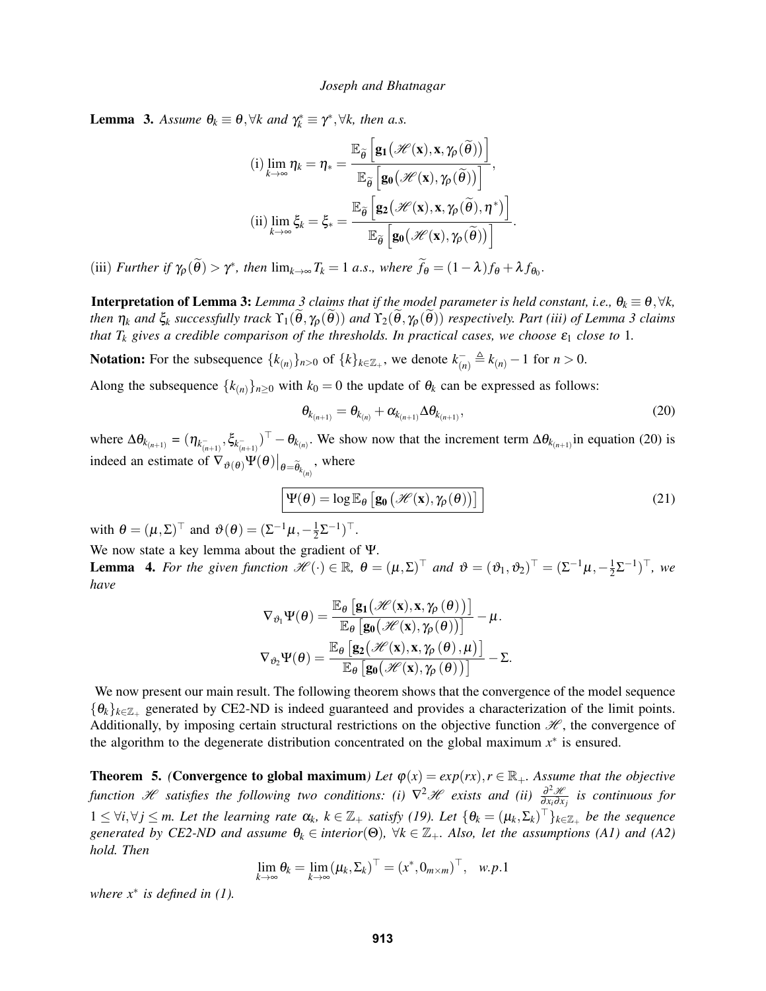**Lemma 3.** Assume  $\theta_k \equiv \theta$ ,  $\forall k$  and  $\gamma_k^* \equiv \gamma^*$ ,  $\forall k$ , then a.s.

(i) 
$$
\lim_{k \to \infty} \eta_k = \eta_* = \frac{\mathbb{E}_{\tilde{\theta}} \left[ \mathbf{g}_1(\mathcal{H}(\mathbf{x}), \mathbf{x}, \gamma_\rho(\tilde{\theta})) \right]}{\mathbb{E}_{\tilde{\theta}} \left[ \mathbf{g}_0(\mathcal{H}(\mathbf{x}), \gamma_\rho(\tilde{\theta})) \right]},
$$
  
\n(ii)  $\lim_{k \to \infty} \xi_k = \xi_* = \frac{\mathbb{E}_{\tilde{\theta}} \left[ \mathbf{g}_2(\mathcal{H}(\mathbf{x}), \mathbf{x}, \gamma_\rho(\tilde{\theta}), \eta^*) \right]}{\mathbb{E}_{\tilde{\theta}} \left[ \mathbf{g}_0(\mathcal{H}(\mathbf{x}), \gamma_\rho(\tilde{\theta})) \right]}.$ 

(iii) *Further if*  $\gamma_{\rho}(\tilde{\theta}) > \gamma^*$ , then  $\lim_{k \to \infty} T_k = 1$  *a.s.*, where  $\tilde{f}_{\theta} = (1 - \lambda)f_{\theta} + \lambda f_{\theta_0}$ .

**Interpretation of Lemma 3:** *Lemma* 3 *claims that if the model parameter is held constant, i.e.,*  $\theta_k \equiv \theta$ ,  $\forall k$ , *then*  $\eta_k$  *and*  $\xi_k$  *successfully track*  $\Upsilon_1(\theta, \gamma_0(\theta))$  *and*  $\Upsilon_2(\theta, \gamma_0(\theta))$  *respectively. Part (iii) of Lemma* 3 *claims that*  $T_k$  *gives a credible comparison of the thresholds. In practical cases, we choose*  $\varepsilon_1$  *close to* 1*.* 

Notation: For the subsequence  $\{k_{(n)}\}_{n>0}$  of  $\{k\}_{k\in\mathbb{Z}_+}$ , we denote  $k_{(n)}^- \triangleq k_{(n)} - 1$  for  $n > 0$ .

Along the subsequence  $\{k_{(n)}\}_{n\geq 0}$  with  $k_0 = 0$  the update of  $\theta_k$  can be expressed as follows:

$$
\theta_{k_{(n+1)}} = \theta_{k_{(n)}} + \alpha_{k_{(n+1)}} \Delta \theta_{k_{(n+1)}},
$$
\n(20)

where  $\Delta\theta_{k_{(n+1)}} = (\eta_{k_{(n+1)}^-}, \xi_{k_{(n+1)}^-})^\top - \theta_{k_{(n)}}$ . We show now that the increment term  $\Delta\theta_{k_{(n+1)}}$  in equation (20) is indeed an estimate of  $\nabla_{\vartheta(\theta)} \Psi(\theta)|_{\theta = \widetilde{\theta}_{k_{(n)}}},$  where

$$
\boxed{\Psi(\theta) = \log \mathbb{E}_{\theta} \left[ \mathbf{g}_{0} \left( \mathcal{H}(\mathbf{x}), \gamma_{\rho}(\theta) \right) \right]}
$$
\n(21)

with  $\theta = (\mu, \Sigma)^{\top}$  and  $\vartheta(\theta) = (\Sigma^{-1}\mu, -\frac{1}{2})$  $rac{1}{2}$ Σ<sup>-1</sup>)<sup>⊤</sup>.

We now state a key lemma about the gradient of Ψ. **Lemma 4.** For the given function  $\mathscr{H}(\cdot) \in \mathbb{R}$ ,  $\theta = (\mu, \Sigma)^{\top}$  and  $\vartheta = (\vartheta_1, \vartheta_2)^{\top} = (\Sigma^{-1}\mu, -\frac{1}{2})$  $(\frac{1}{2}\Sigma^{-1})^{\top}$ , we *have*

$$
\nabla_{\vartheta_1} \Psi(\theta) = \frac{\mathbb{E}_{\theta} \left[ g_1 \big( \mathcal{H}(\mathbf{x}), \mathbf{x}, \gamma_{\rho}(\theta) \big) \right]}{\mathbb{E}_{\theta} \left[ g_0 \big( \mathcal{H}(\mathbf{x}), \gamma_{\rho}(\theta) \big) \right]} - \mu.
$$

$$
\nabla_{\vartheta_2} \Psi(\theta) = \frac{\mathbb{E}_{\theta} \left[ g_2 \big( \mathcal{H}(\mathbf{x}), \mathbf{x}, \gamma_{\rho}(\theta), \mu \big) \right]}{\mathbb{E}_{\theta} \left[ g_0 \big( \mathcal{H}(\mathbf{x}), \gamma_{\rho}(\theta) \big) \right]} - \Sigma.
$$

We now present our main result. The following theorem shows that the convergence of the model sequence  $\{\theta_k\}_{k \in \mathbb{Z}_+}$  generated by CE2-ND is indeed guaranteed and provides a characterization of the limit points. Additionally, by imposing certain structural restrictions on the objective function  $\mathcal{H}$ , the convergence of the algorithm to the degenerate distribution concentrated on the global maximum  $x^*$  is ensured.

**Theorem 5.** *(Convergence to global maximum) Let*  $\varphi(x) = exp(rx), r \in \mathbb{R}_+$ *. Assume that the objective function* H *satisfies the following two conditions: (i)*  $\nabla^2 \mathcal{H}$  *exists and (ii)*  $\frac{\partial^2 \mathcal{H}}{\partial x_i \partial x_j}$ ∂ *xi*∂ *x <sup>j</sup> is continuous for*  $1 \leq \forall i, \forall j \leq m$ . Let the learning rate  $\alpha_k$ ,  $k \in \mathbb{Z}_+$  satisfy (19). Let  $\{\theta_k = (\mu_k, \Sigma_k)^\top\}_{k \in \mathbb{Z}_+}$  be the sequence *generated by CE2-ND and assume*  $\theta_k \in \text{interior}(\Theta)$ ,  $\forall k \in \mathbb{Z}_+$ *. Also, let the assumptions (A1) and (A2) hold. Then*

$$
\lim_{k\to\infty}\theta_k = \lim_{k\to\infty}(\mu_k, \Sigma_k)^\top = (x^*, 0_{m\times m})^\top, \quad w.p.1
$$

*where x*<sup>∗</sup> *is defined in (1).*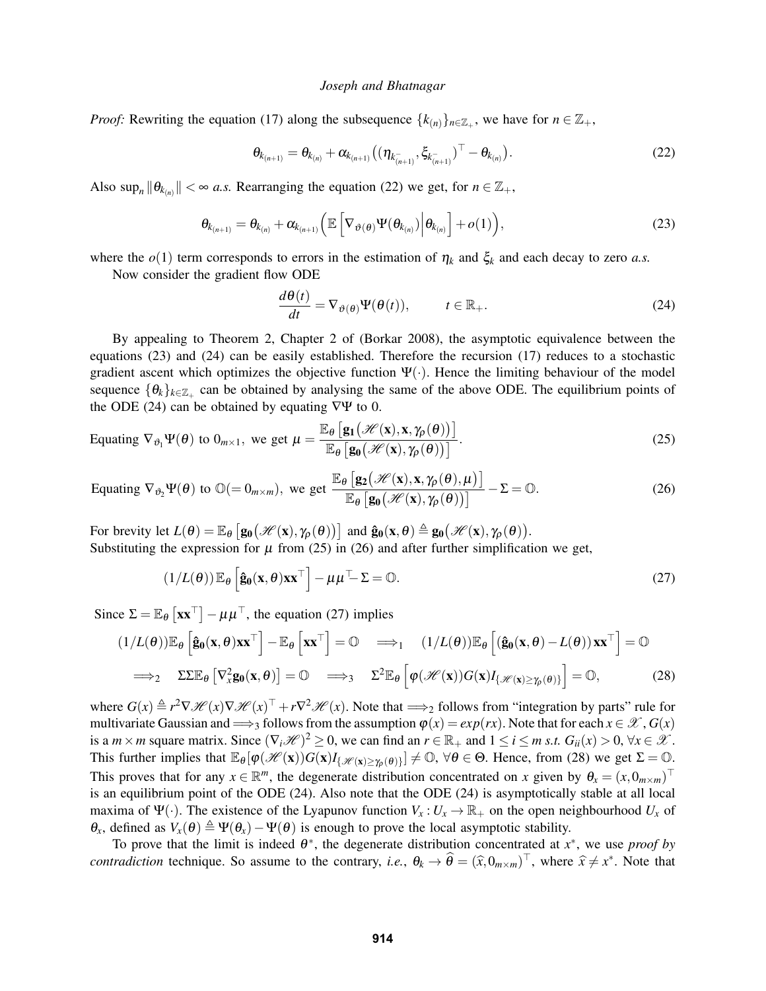*Proof:* Rewriting the equation (17) along the subsequence  $\{k_{(n)}\}_{n \in \mathbb{Z}_+}$ , we have for  $n \in \mathbb{Z}_+$ ,

$$
\theta_{k_{(n+1)}} = \theta_{k_{(n)}} + \alpha_{k_{(n+1)}} \big( (\eta_{k_{(n+1)}^-}, \xi_{k_{(n+1)}^-})^\top - \theta_{k_{(n)}} \big).
$$
\n(22)

Also  $\sup_n ||\theta_{k_{(n)}}|| < \infty$  *a.s.* Rearranging the equation (22) we get, for  $n \in \mathbb{Z}_+$ ,

$$
\boldsymbol{\theta}_{k_{(n+1)}} = \boldsymbol{\theta}_{k_{(n)}} + \boldsymbol{\alpha}_{k_{(n+1)}} \Big( \mathbb{E} \left[ \nabla_{\boldsymbol{\vartheta}(\boldsymbol{\theta})} \Psi(\boldsymbol{\theta}_{k_{(n)}}) \Big| \boldsymbol{\theta}_{k_{(n)}} \right] + o(1) \Big), \tag{23}
$$

where the  $o(1)$  term corresponds to errors in the estimation of  $\eta_k$  and  $\xi_k$  and each decay to zero *a.s.* 

Now consider the gradient flow ODE

$$
\frac{d\theta(t)}{dt} = \nabla_{\vartheta(\theta)} \Psi(\theta(t)), \qquad t \in \mathbb{R}_+.
$$
 (24)

By appealing to Theorem 2, Chapter 2 of (Borkar 2008), the asymptotic equivalence between the equations (23) and (24) can be easily established. Therefore the recursion (17) reduces to a stochastic gradient ascent which optimizes the objective function  $\Psi(\cdot)$ . Hence the limiting behaviour of the model sequence  $\{\theta_k\}_{k \in \mathbb{Z}_+}$  can be obtained by analysing the same of the above ODE. The equilibrium points of the ODE (24) can be obtained by equating  $\nabla\Psi$  to 0.

Equating 
$$
\nabla_{\vartheta_1} \Psi(\theta)
$$
 to  $0_{m \times 1}$ , we get  $\mu = \frac{\mathbb{E}_{\theta} \left[ \mathbf{g}_1(\mathcal{H}(\mathbf{x}), \mathbf{x}, \gamma_{\rho}(\theta)) \right]}{\mathbb{E}_{\theta} \left[ \mathbf{g}_0(\mathcal{H}(\mathbf{x}), \gamma_{\rho}(\theta)) \right]}$ . (25)

Equating 
$$
\nabla_{\vartheta_2} \Psi(\theta)
$$
 to  $\mathbb{O} (= 0_{m \times m})$ , we get  $\frac{\mathbb{E}_{\theta} \left[ \mathbf{g}_2(\mathcal{H}(\mathbf{x}), \mathbf{x}, \gamma_{\rho}(\theta), \mu) \right]}{\mathbb{E}_{\theta} \left[ \mathbf{g}_0(\mathcal{H}(\mathbf{x}), \gamma_{\rho}(\theta)) \right]} - \Sigma = \mathbb{O}.$  (26)

For brevity let  $L(\theta) = \mathbb{E}_{\theta} [g_0(\mathcal{H}(x), \gamma_\rho(\theta))]$  and  $\hat{g}_0(x, \theta) \triangleq g_0(\mathcal{H}(x), \gamma_\rho(\theta)).$ Substituting the expression for  $\mu$  from (25) in (26) and after further simplification we get,

$$
(1/L(\theta)) \mathbb{E}_{\theta} \left[ \hat{\mathbf{g}}_0(\mathbf{x}, \theta) \mathbf{x} \mathbf{x}^{\top} \right] - \mu \mu^{\top} \Sigma = \mathbb{O}.
$$
 (27)

Since  $\Sigma = \mathbb{E}_{\theta} [\mathbf{x} \mathbf{x}^{\top}] - \mu \mu^{\top}$ , the equation (27) implies

$$
(1/L(\theta))\mathbb{E}_{\theta}\left[\hat{\mathbf{g}}_{0}(\mathbf{x},\theta)\mathbf{x}\mathbf{x}^{\top}\right]-\mathbb{E}_{\theta}\left[\mathbf{x}\mathbf{x}^{\top}\right]=0 \implies (1/L(\theta))\mathbb{E}_{\theta}\left[\left(\hat{\mathbf{g}}_{0}(\mathbf{x},\theta)-L(\theta)\right)\mathbf{x}\mathbf{x}^{\top}\right]=0
$$
  

$$
\implies 2\Sigma\mathbb{E}_{\theta}\left[\nabla_{x}^{2}\mathbf{g}_{0}(\mathbf{x},\theta)\right]=0 \implies 2^{2}\mathbb{E}_{\theta}\left[\varphi(\mathcal{H}(\mathbf{x}))G(\mathbf{x})I_{\{\mathcal{H}(\mathbf{x})\geq\gamma_{\rho}(\theta)\}}\right]=0, \tag{28}
$$

where  $G(x) \triangleq r^2 \nabla \mathcal{H}(x) \nabla \mathcal{H}(x) + r \nabla^2 \mathcal{H}(x)$ . Note that  $\Longrightarrow_2$  follows from "integration by parts" rule for multivariate Gaussian and  $\implies_3$  follows from the assumption  $\varphi(x) = exp(rx)$ . Note that for each  $x \in \mathcal{X}$ ,  $G(x)$ is a  $m \times m$  square matrix. Since  $(\nabla_i \mathcal{H})^2 \ge 0$ , we can find an  $r \in \mathbb{R}_+$  and  $1 \le i \le m$  *s.t.*  $G_{ii}(x) > 0$ ,  $\forall x \in \mathcal{X}$ . This further implies that  $\mathbb{E}_{\theta}[\varphi(\mathscr{H}(\mathbf{x}))G(\mathbf{x})I_{\{\mathscr{H}(\mathbf{x})\geq\gamma_{\rho}(\theta)\}}] \neq \mathbb{O}, \forall \theta \in \Theta$ . Hence, from (28) we get  $\Sigma = \mathbb{O}$ . This proves that for any  $x \in \mathbb{R}^m$ , the degenerate distribution concentrated on *x* given by  $\theta_x = (x, 0_{m \times m})^\top$ is an equilibrium point of the ODE (24). Also note that the ODE (24) is asymptotically stable at all local maxima of  $\Psi(\cdot)$ . The existence of the Lyapunov function  $V_x: U_x \to \mathbb{R}_+$  on the open neighbourhood  $U_x$  of  $\theta_x$ , defined as  $V_x(\theta) \triangleq \Psi(\theta_x) - \Psi(\theta)$  is enough to prove the local asymptotic stability.

To prove that the limit is indeed  $\theta^*$ , the degenerate distribution concentrated at  $x^*$ , we use *proof by contradiction* technique. So assume to the contrary, *i.e.*,  $\theta_k \to \hat{\theta} = (\hat{x}, 0_{m \times m})^\top$ , where  $\hat{x} \neq x^*$ . Note that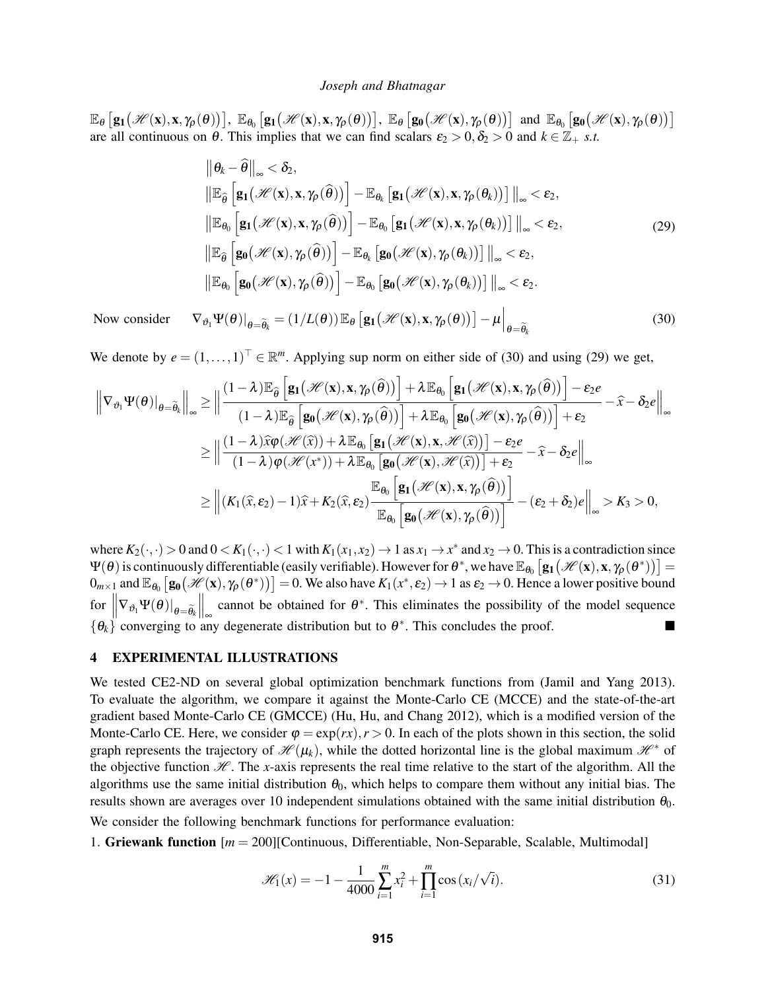$\mathbb{E}_{\theta}\left[\mathbf{g_{1}}(\mathcal{H}(\mathbf{x}), \mathbf{x}, \gamma_{\rho}(\theta))\right], \ \mathbb{E}_{\theta_{0}}\left[\mathbf{g_{1}}(\mathcal{H}(\mathbf{x}), \mathbf{x}, \gamma_{\rho}(\theta))\right], \ \mathbb{E}_{\theta}\left[\mathbf{g_{0}}(\mathcal{H}(\mathbf{x}), \gamma_{\rho}(\theta))\right]$  and  $\mathbb{E}_{\theta_{0}}\left[\mathbf{g_{0}}(\mathcal{H}(\mathbf{x}), \gamma_{\rho}(\theta))\right]$ are all continuous on  $\theta$ . This implies that we can find scalars  $\varepsilon_2 > 0$ ,  $\delta_2 > 0$  and  $k \in \mathbb{Z}_+$  *s.t.* 

$$
\|\theta_{k} - \hat{\theta}\|_{\infty} < \delta_{2},
$$
\n
$$
\|\mathbb{E}_{\hat{\theta}}\left[\mathbf{g}_{1}(\mathscr{H}(\mathbf{x}), \mathbf{x}, \gamma_{\rho}(\hat{\theta}))\right] - \mathbb{E}_{\theta_{k}}\left[\mathbf{g}_{1}(\mathscr{H}(\mathbf{x}), \mathbf{x}, \gamma_{\rho}(\theta_{k}))\right] \|_{\infty} < \varepsilon_{2},
$$
\n
$$
\|\mathbb{E}_{\theta_{0}}\left[\mathbf{g}_{1}(\mathscr{H}(\mathbf{x}), \mathbf{x}, \gamma_{\rho}(\hat{\theta}))\right] - \mathbb{E}_{\theta_{0}}\left[\mathbf{g}_{1}(\mathscr{H}(\mathbf{x}), \mathbf{x}, \gamma_{\rho}(\theta_{k}))\right] \|_{\infty} < \varepsilon_{2},
$$
\n
$$
\|\mathbb{E}_{\hat{\theta}}\left[\mathbf{g}_{0}(\mathscr{H}(\mathbf{x}), \gamma_{\rho}(\hat{\theta}))\right] - \mathbb{E}_{\theta_{k}}\left[\mathbf{g}_{0}(\mathscr{H}(\mathbf{x}), \gamma_{\rho}(\theta_{k}))\right] \|_{\infty} < \varepsilon_{2},
$$
\n
$$
\|\mathbb{E}_{\theta_{0}}\left[\mathbf{g}_{0}(\mathscr{H}(\mathbf{x}), \gamma_{\rho}(\hat{\theta}))\right] - \mathbb{E}_{\theta_{0}}\left[\mathbf{g}_{0}(\mathscr{H}(\mathbf{x}), \gamma_{\rho}(\theta_{k}))\right] \|_{\infty} < \varepsilon_{2}.
$$
\n(29)

Now consider  $\nabla_{\vartheta_1} \Psi(\theta)|_{\theta = \widetilde{\theta}_k} = (1/L(\theta)) \mathbb{E}_{\theta} \left[ \mathbf{g}_1(\mathcal{H}(\mathbf{x}), \mathbf{x}, \gamma_{\rho}(\theta)) \right] - \mu \Big|_{\theta = \widetilde{\theta}_k}$ (30)

We denote by  $e = (1, \ldots, 1)^\top \in \mathbb{R}^m$ . Applying sup norm on either side of (30) and using (29) we get,

$$
\left\|\nabla_{\vartheta_{1}}\Psi(\theta)\right|_{\theta=\widetilde{\theta}_{k}}\right\|_{\infty} \geq \left\|\frac{(1-\lambda)\mathbb{E}_{\widehat{\theta}}\left[\mathbf{g}_{1}(\mathcal{H}(\mathbf{x}), \mathbf{x}, \gamma_{\rho}(\widehat{\theta}))\right] + \lambda\mathbb{E}_{\theta_{0}}\left[\mathbf{g}_{1}(\mathcal{H}(\mathbf{x}), \mathbf{x}, \gamma_{\rho}(\widehat{\theta}))\right] - \varepsilon_{2}e}{(1-\lambda)\mathbb{E}_{\widehat{\theta}}\left[\mathbf{g}_{0}(\mathcal{H}(\mathbf{x}), \gamma_{\rho}(\widehat{\theta}))\right] + \lambda\mathbb{E}_{\theta_{0}}\left[\mathbf{g}_{0}(\mathcal{H}(\mathbf{x}), \gamma_{\rho}(\widehat{\theta}))\right] + \varepsilon_{2}} - \hat{x} - \delta_{2}e\right\|_{\infty} \n\geq \left\|\frac{(1-\lambda)\widehat{x}\varphi(\mathcal{H}(\widehat{x})) + \lambda\mathbb{E}_{\theta_{0}}\left[\mathbf{g}_{1}(\mathcal{H}(\mathbf{x}), \mathbf{x}, \mathcal{H}(\widehat{x}))\right] - \varepsilon_{2}e}{(1-\lambda)\varphi(\mathcal{H}(x^{*})) + \lambda\mathbb{E}_{\theta_{0}}\left[\mathbf{g}_{0}(\mathcal{H}(\mathbf{x}), \mathcal{H}(\widehat{x}))\right] + \varepsilon_{2}} - \hat{x} - \delta_{2}e\right\|_{\infty} \n\geq \left\|\left(K_{1}(\widehat{x}, \varepsilon_{2}) - 1)\widehat{x} + K_{2}(\widehat{x}, \varepsilon_{2})\frac{\mathbb{E}_{\theta_{0}}\left[\mathbf{g}_{1}(\mathcal{H}(\mathbf{x}), \mathbf{x}, \gamma_{\rho}(\widehat{\theta}))\right]}{\mathbb{E}_{\theta_{0}}\left[\mathbf{g}_{0}(\mathcal{H}(\mathbf{x}), \gamma_{\rho}(\widehat{\theta}))\right]} - (\varepsilon_{2} + \delta_{2})e\right\|_{\infty} > K_{3} > 0,
$$

where  $K_2(\cdot,\cdot) > 0$  and  $0 < K_1(\cdot,\cdot) < 1$  with  $K_1(x_1,x_2) \to 1$  as  $x_1 \to x^*$  and  $x_2 \to 0$ . This is a contradiction since  $\Psi(\theta)$  is continuously differentiable (easily verifiable). However for  $\theta^*$ , we have  $\mathbb{E}_{\theta_0}\left[\mathbf{g_1}\big(\mathscr{H}(\mathbf{x}), \mathbf{x}, \gamma_\rho(\theta^*)\big)\right]=$  $0_{m\times 1}$  and  $\mathbb{E}_{\theta_0}\left[\mathbf{g_0}(\mathcal{H}(\mathbf{x}), \gamma_\rho(\theta^*))\right] = 0$ . We also have  $K_1(x^*, \varepsilon_2) \to 1$  as  $\varepsilon_2 \to 0$ . Hence a lower positive bound  $\int \int \nabla_{\vartheta_1} \Psi(\theta) \big|_{\theta = \widetilde{\theta_k}}$  $\int_{\infty}^{\infty}$  cannot be obtained for  $\theta^*$ . This eliminates the possibility of the model sequence  $\{\theta_k\}$  converging to any degenerate distribution but to  $\theta^*$ . This concludes the proof.

# 4 EXPERIMENTAL ILLUSTRATIONS

We tested CE2-ND on several global optimization benchmark functions from (Jamil and Yang 2013). To evaluate the algorithm, we compare it against the Monte-Carlo CE (MCCE) and the state-of-the-art gradient based Monte-Carlo CE (GMCCE) (Hu, Hu, and Chang 2012), which is a modified version of the Monte-Carlo CE. Here, we consider  $\varphi = \exp(rx)$ ,  $r > 0$ . In each of the plots shown in this section, the solid graph represents the trajectory of  $\mathcal{H}(\mu_k)$ , while the dotted horizontal line is the global maximum  $\mathcal{H}^*$  of the objective function  $H$ . The *x*-axis represents the real time relative to the start of the algorithm. All the algorithms use the same initial distribution  $\theta_0$ , which helps to compare them without any initial bias. The results shown are averages over 10 independent simulations obtained with the same initial distribution  $\theta_0$ .

We consider the following benchmark functions for performance evaluation:

1. Griewank function [*m* = 200][Continuous, Differentiable, Non-Separable, Scalable, Multimodal]

$$
\mathcal{H}_1(x) = -1 - \frac{1}{4000} \sum_{i=1}^{m} x_i^2 + \prod_{i=1}^{m} \cos(x_i/\sqrt{i}).
$$
 (31)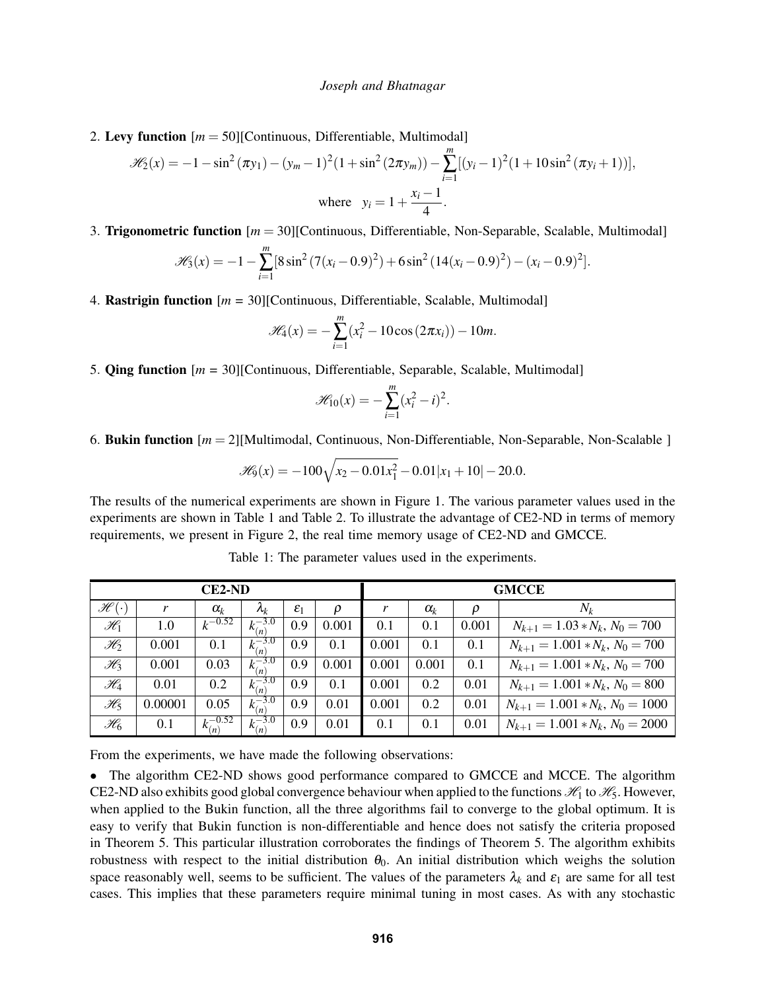2. Levy function [*m* = 50][Continuous, Differentiable, Multimodal]

$$
\mathcal{H}_2(x) = -1 - \sin^2(\pi y_1) - (y_m - 1)^2 (1 + \sin^2(2\pi y_m)) - \sum_{i=1}^m [(y_i - 1)^2 (1 + 10\sin^2(\pi y_i + 1))],
$$
  
where  $y_i = 1 + \frac{x_i - 1}{4}$ .

3. Trigonometric function [*m* = 30][Continuous, Differentiable, Non-Separable, Scalable, Multimodal]

$$
\mathscr{H}_3(x) = -1 - \sum_{i=1}^m [8\sin^2(7(x_i - 0.9)^2) + 6\sin^2(14(x_i - 0.9)^2) - (x_i - 0.9)^2].
$$

4. Rastrigin function [*m* = 30][Continuous, Differentiable, Scalable, Multimodal]

$$
\mathscr{H}_4(x) = -\sum_{i=1}^m (x_i^2 - 10\cos(2\pi x_i)) - 10m.
$$

5. Qing function [*m* = 30][Continuous, Differentiable, Separable, Scalable, Multimodal]

$$
\mathscr{H}_{10}(x) = -\sum_{i=1}^{m} (x_i^2 - i)^2.
$$

6. Bukin function [*m* = 2][Multimodal, Continuous, Non-Differentiable, Non-Separable, Non-Scalable ]

$$
\mathscr{H}_9(x) = -100\sqrt{x_2 - 0.01x_1^2} - 0.01|x_1 + 10| - 20.0.
$$

The results of the numerical experiments are shown in Figure 1. The various parameter values used in the experiments are shown in Table 1 and Table 2. To illustrate the advantage of CE2-ND in terms of memory requirements, we present in Figure 2, the real time memory usage of CE2-ND and GMCCE.

| <b>CE2-ND</b>                |         |                   |                  |                 |       | <b>GMCCE</b> |            |       |                                   |
|------------------------------|---------|-------------------|------------------|-----------------|-------|--------------|------------|-------|-----------------------------------|
| $\mathscr{H}$ (<br>$\bullet$ |         | $\alpha_k$        | $\lambda_k$      | $\varepsilon_1$ | ρ     |              | $\alpha_k$ | ρ     | $N_k$                             |
| $\mathscr{H}_1$              | 1.0     | $k^{-0.52}$       | $k_{(n)}^{-3.0}$ | 0.9             | 0.001 | 0.1          | 0.1        | 0.001 | $N_{k+1} = 1.03*N_k, N_0 = 700$   |
| $\mathscr{H}_2$              | 0.001   | 0.1               | $k_{(n)}^{-3.0}$ | 0.9             | 0.1   | 0.001        | 0.1        | 0.1   | $N_{k+1} = 1.001*N_k, N_0 = 700$  |
| $\mathscr{H}_3$              | 0.001   | 0.03              | $k_{(n)}^{-3.0}$ | 0.9             | 0.001 | 0.001        | 0.001      | 0.1   | $N_{k+1} = 1.001*N_k, N_0 = 700$  |
| $\mathscr{H}_4$              | 0.01    | 0.2               | $k_{(n)}^{-3.0}$ | 0.9             | 0.1   | 0.001        | 0.2        | 0.01  | $N_{k+1} = 1.001*N_k, N_0 = 800$  |
| $\mathscr{H}_5$              | 0.00001 | 0.05              | $k_{(n)}^{-3.0}$ | 0.9             | 0.01  | 0.001        | 0.2        | 0.01  | $N_{k+1} = 1.001*N_k, N_0 = 1000$ |
| $\mathscr{H}_6$              | 0.1     | $k_{(n)}^{-0.52}$ | $k_{(n)}^{-3.0}$ | 0.9             | 0.01  | 0.1          | 0.1        | 0.01  | $N_{k+1} = 1.001*N_k, N_0 = 2000$ |

Table 1: The parameter values used in the experiments.

From the experiments, we have made the following observations:

• The algorithm CE2-ND shows good performance compared to GMCCE and MCCE. The algorithm CE2-ND also exhibits good global convergence behaviour when applied to the functions  $\mathcal{H}_1$  to  $\mathcal{H}_5$ . However, when applied to the Bukin function, all the three algorithms fail to converge to the global optimum. It is easy to verify that Bukin function is non-differentiable and hence does not satisfy the criteria proposed in Theorem 5. This particular illustration corroborates the findings of Theorem 5. The algorithm exhibits robustness with respect to the initial distribution  $\theta_0$ . An initial distribution which weighs the solution space reasonably well, seems to be sufficient. The values of the parameters  $\lambda_k$  and  $\varepsilon_1$  are same for all test cases. This implies that these parameters require minimal tuning in most cases. As with any stochastic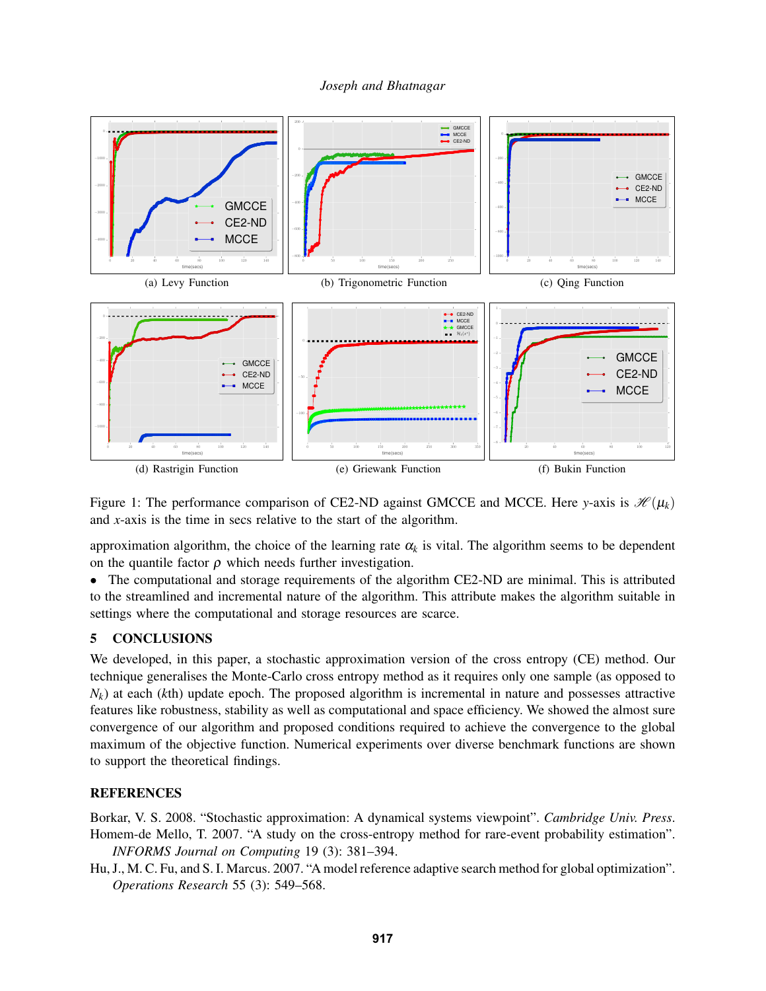

Figure 1: The performance comparison of CE2-ND against GMCCE and MCCE. Here *y*-axis is  $\mathcal{H}(\mu_k)$ and *x*-axis is the time in secs relative to the start of the algorithm.

approximation algorithm, the choice of the learning rate  $\alpha_k$  is vital. The algorithm seems to be dependent on the quantile factor  $\rho$  which needs further investigation.

• The computational and storage requirements of the algorithm CE2-ND are minimal. This is attributed to the streamlined and incremental nature of the algorithm. This attribute makes the algorithm suitable in settings where the computational and storage resources are scarce.

# 5 CONCLUSIONS

We developed, in this paper, a stochastic approximation version of the cross entropy (CE) method. Our technique generalises the Monte-Carlo cross entropy method as it requires only one sample (as opposed to  $N_k$ ) at each (*k*th) update epoch. The proposed algorithm is incremental in nature and possesses attractive features like robustness, stability as well as computational and space efficiency. We showed the almost sure convergence of our algorithm and proposed conditions required to achieve the convergence to the global maximum of the objective function. Numerical experiments over diverse benchmark functions are shown to support the theoretical findings.

# **REFERENCES**

Borkar, V. S. 2008. "Stochastic approximation: A dynamical systems viewpoint". *Cambridge Univ. Press*. Homem-de Mello, T. 2007. "A study on the cross-entropy method for rare-event probability estimation". *INFORMS Journal on Computing* 19 (3): 381–394.

Hu, J., M. C. Fu, and S. I. Marcus. 2007. "A model reference adaptive search method for global optimization". *Operations Research* 55 (3): 549–568.